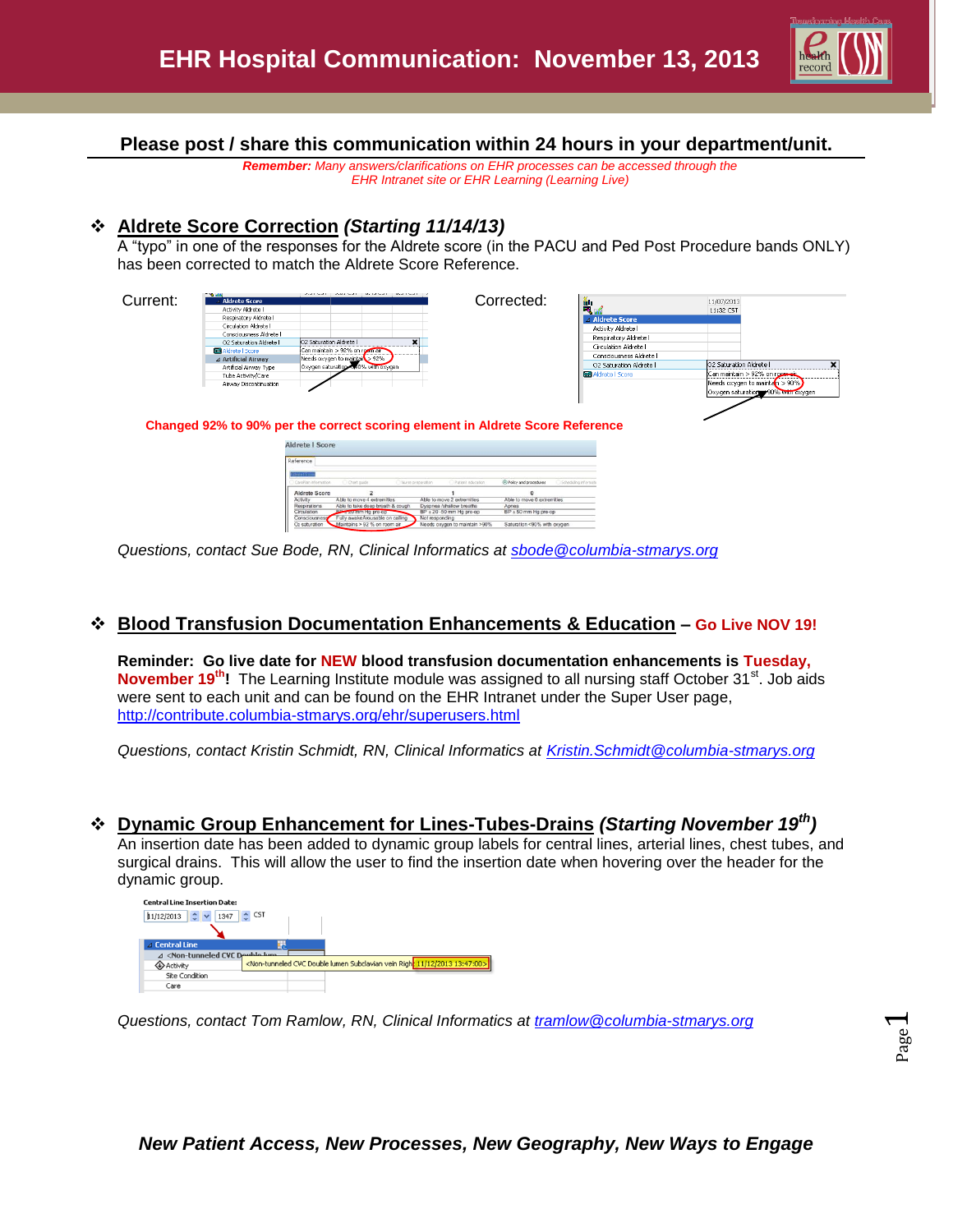

**Please post / share this communication within 24 hours in your department/unit.**

*Remember: Many answers/clarifications on EHR processes can be accessed through the EHR Intranet site or EHR Learning (Learning Live)*

# **Aldrete Score Correction** *(Starting 11/14/13)*

A "typo" in one of the responses for the Aldrete score (in the PACU and Ped Post Procedure bands ONLY) has been corrected to match the Aldrete Score Reference.



*Questions, contact Sue Bode, RN, Clinical Informatics at [sbode@columbia-stmarys.org](mailto:sbode@columbia-stmarys.org)*

### **Blood Transfusion Documentation Enhancements & Education – Go Live NOV 19!**

**Reminder: Go live date for NEW blood transfusion documentation enhancements is Tuesday, November 19<sup>th</sup>!** The Learning Institute module was assigned to all nursing staff October 31<sup>st</sup>. Job aids were sent to each unit and can be found on the EHR Intranet under the Super User page, <http://contribute.columbia-stmarys.org/ehr/superusers.html>

*Questions, contact Kristin Schmidt, RN, Clinical Informatics at [Kristin.Schmidt@columbia-stmarys.org](mailto:Kristin.Schmidt@columbia-stmarys.org)*

# **Dynamic Group Enhancement for Lines-Tubes-Drains** *(Starting November 19th)*

An insertion date has been added to dynamic group labels for central lines, arterial lines, chest tubes, and surgical drains. This will allow the user to find the insertion date when hovering over the header for the dynamic group.



*Questions, contact Tom Ramlow, RN, Clinical Informatics at [tramlow@columbia-stmarys.org](mailto:tramlow@columbia-stmarys.org)*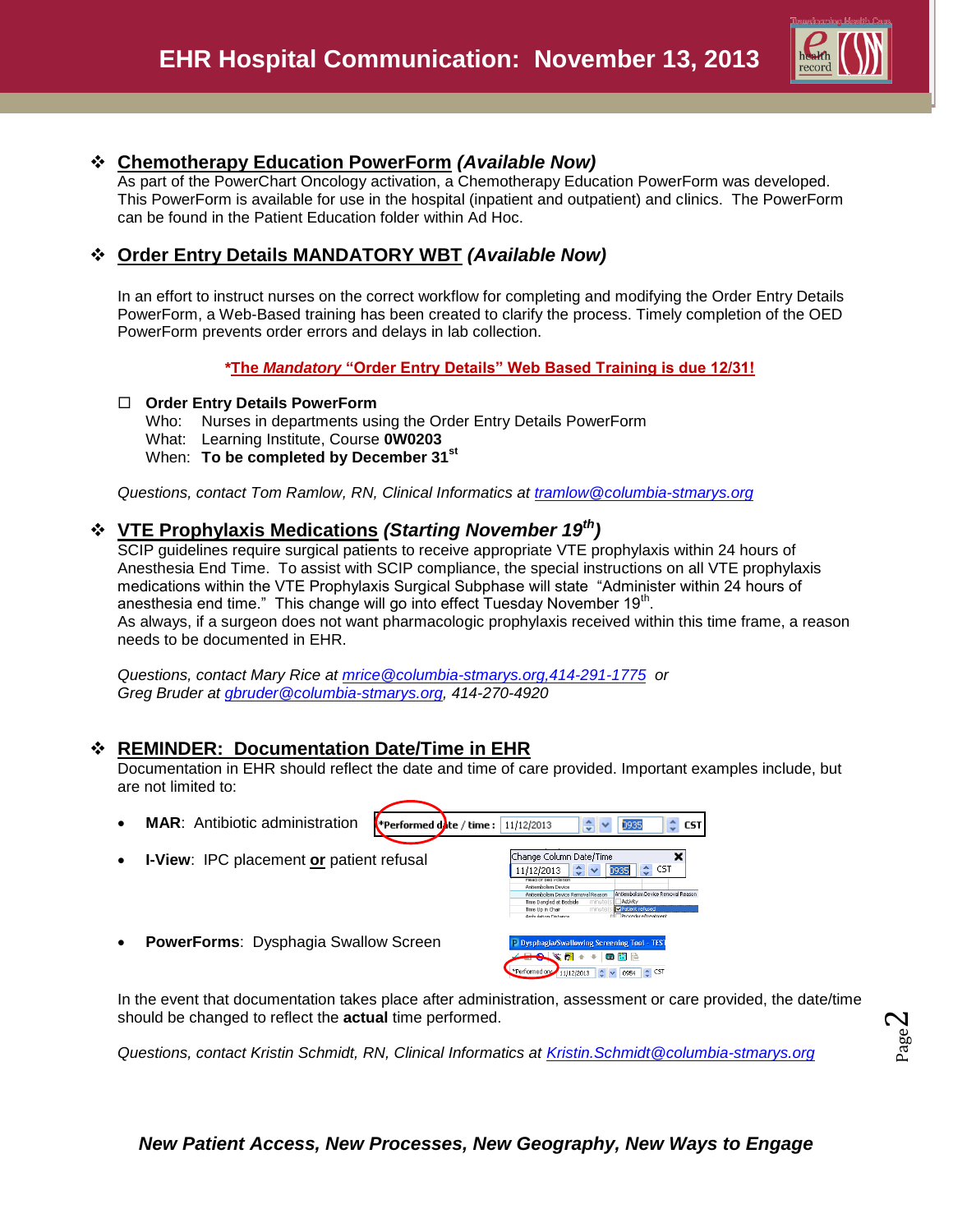

#### **Chemotherapy Education PowerForm** *(Available Now)*

As part of the PowerChart Oncology activation, a Chemotherapy Education PowerForm was developed. This PowerForm is available for use in the hospital (inpatient and outpatient) and clinics. The PowerForm can be found in the Patient Education folder within Ad Hoc.

# **Order Entry Details MANDATORY WBT** *(Available Now)*

In an effort to instruct nurses on the correct workflow for completing and modifying the Order Entry Details PowerForm, a Web-Based training has been created to clarify the process. Timely completion of the OED PowerForm prevents order errors and delays in lab collection.

**\*The** *Mandatory* **"Order Entry Details" Web Based Training is due 12/31!**

#### **Order Entry Details PowerForm**

- Who: Nurses in departments using the Order Entry Details PowerForm
- What: Learning Institute, Course **0W0203**
- When: **To be completed by December 31st**

*Questions, contact Tom Ramlow, RN, Clinical Informatics at [tramlow@columbia-stmarys.org](mailto:tramlow@columbia-stmarys.org)*

### **VTE Prophylaxis Medications** *(Starting November 19th)*

SCIP quidelines require surgical patients to receive appropriate VTE prophylaxis within 24 hours of Anesthesia End Time. To assist with SCIP compliance, the special instructions on all VTE prophylaxis medications within the VTE Prophylaxis Surgical Subphase will state "Administer within 24 hours of anesthesia end time." This change will go into effect Tuesday November 19 $^{\text{th}}$ . As always, if a surgeon does not want pharmacologic prophylaxis received within this time frame, a reason needs to be documented in EHR.

*Questions, contact Mary Rice at [mrice@columbia-stmarys.org,414-291-1775](mailto:mrice@columbia-stmarys.org,414-291-1775) or Greg Bruder at [gbruder@columbia-stmarys.org,](mailto:gbruder@columbia-stmarys.org) 414-270-4920* 

# **REMINDER: Documentation Date/Time in EHR**

Documentation in EHR should reflect the date and time of care provided. Important examples include, but are not limited to:

**Performed date** / time:  $11/12/2013$ 

- **MAR**: Antibiotic administration
- **I-View**: IPC placement **or** patient refusal
- **PowerForms**: Dysphagia Swallow Screen



Change Column Date/Time 11/12/2013  $\frac{1}{2}$   $\sqrt{25}$  0935

0935

 $\hat{\mathbf{v}}$  CST

CST

*Questions, contact Kristin Schmidt, RN, Clinical Informatics at [Kristin.Schmidt@columbia-stmarys.org](mailto:Kristin.Schmidt@columbia-stmarys.org)*

Page  $\boldsymbol{\sim}$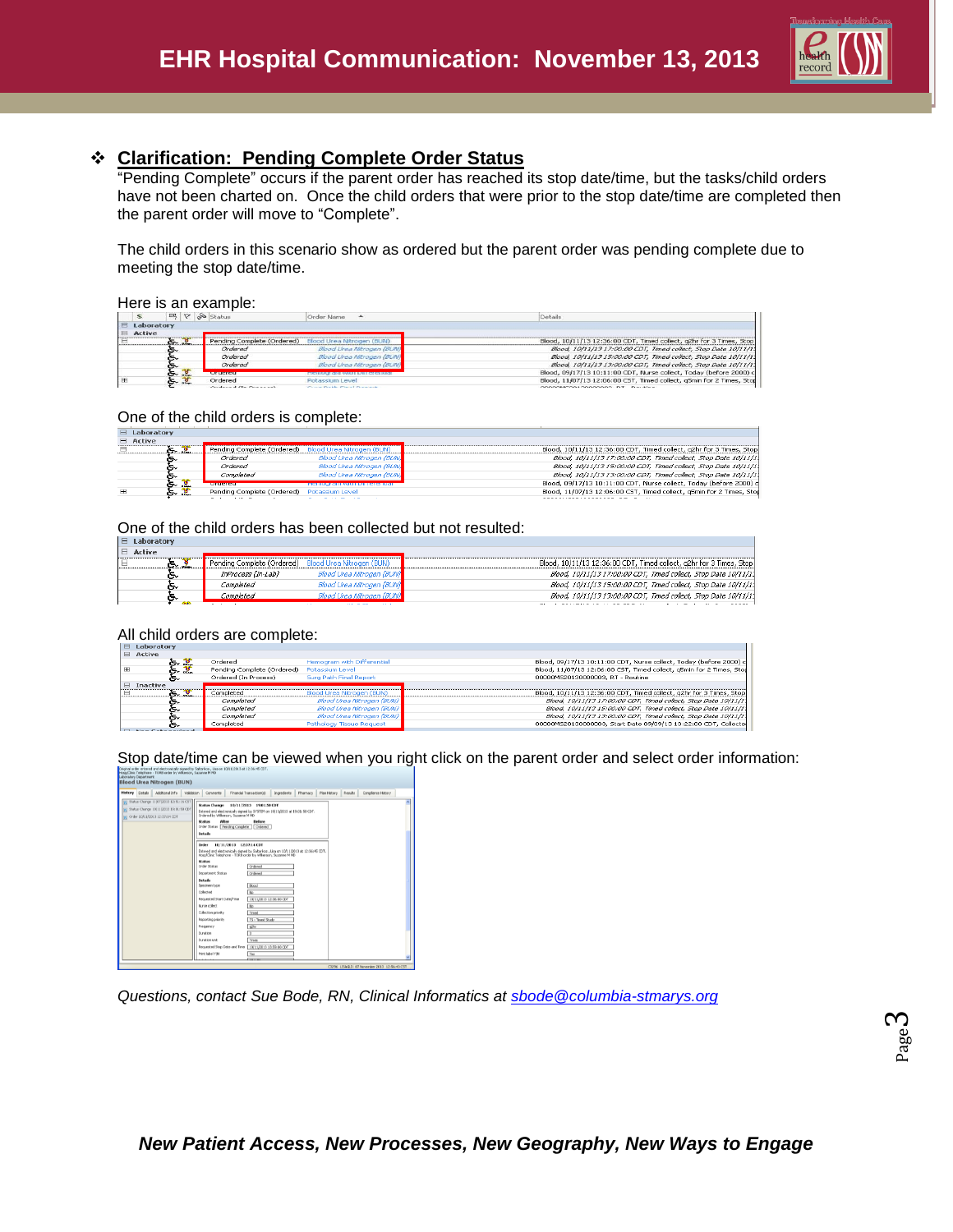

# **Clarification: Pending Complete Order Status**

"Pending Complete" occurs if the parent order has reached its stop date/time, but the tasks/child orders have not been charted on. Once the child orders that were prior to the stop date/time are completed then the parent order will move to "Complete".

The child orders in this scenario show as ordered but the parent order was pending complete due to meeting the stop date/time.

#### Here is an example:

|                |         |             | $\mathbb{B} \times \mathbb{R}$ Status          | Order Name<br>$\overline{\phantom{a}}$           | Details                                                              |
|----------------|---------|-------------|------------------------------------------------|--------------------------------------------------|----------------------------------------------------------------------|
| $E$ Laboratory |         |             |                                                |                                                  |                                                                      |
| $E$ Active     |         |             |                                                |                                                  |                                                                      |
|                | $5 - 3$ |             | Pending Complete (Ordered)                     | Blood Urea Nitrogen (BUN)                        | Blood, 10/11/13 12:36:00 CDT, Timed collect, g2hr for 3 Times, Stop  |
|                | ๛       |             | Ordered                                        | Blood Lirea Mitrogen (BLIV)                      | Blood, 10/11/13 17:00:00 CDT, Timed collect, Stop Date 10/11/11      |
|                | డ       |             | Ordered                                        | Blood Urea Nitrogen (BUN)                        | Blood, 10/11/13 15:00:00 CDT, Timed collect, Stop Date 10/11/11      |
|                | ൳       |             | Ordered                                        | Blood Lirea Mitrogen (BUM)                       | Blood, 10/11/13 13:00:00 CDT, Timed collect, Stop Date 10/11/11      |
|                | とき      |             | <b><i><u>A MARCHINE MARCH</u></i></b>          | <b>PROFILIATE CITY WIRET LAFT CA CERRIC</b>      | Blood, 09/17/13 10:11:00 CDT, Nurse collect, Today (before 2000) c   |
| <b>HB</b>      | ਨ       | $rac{1}{2}$ | Ordered                                        | Potassium Level                                  | Blood, 11/07/13 12:06:00 CST, Timed collect, g5min for 2 Times, Stod |
|                |         |             | $A_1, A_2, \ldots, A_n, A_1, A_2, \ldots, A_n$ | table to the March E. Miller of the contract and |                                                                      |

#### One of the child orders is complete:

| <b>LUDULULUI 7</b> |               |                                            |                           |                                                                      |  |
|--------------------|---------------|--------------------------------------------|---------------------------|----------------------------------------------------------------------|--|
| $\Box$ Active      |               |                                            |                           |                                                                      |  |
|                    | $\sim$ .      | Pending Complete (Ordered)                 | Blood Urea Nitrogen (BUN) | Blood, 10/11/13 12:36:00 CDT, Timed collect, q2hr for 3 Times, Stop  |  |
|                    | ົ             | Ordered                                    | Blood Urea Nitrogen (BUN) | Blood, 10/11/13 17:00:00 CDT, Timed collect, Stop Date 10/11/11      |  |
|                    | ົ             | Ordered                                    | Blood Urea Nitrogen (BUN) | Blood, 10/11/13 15:00:00 CDT, Timed collect, Stop Date 10/11/11      |  |
|                    | ົ             | Completed                                  | Blood Urea Nitrogen (BUN) | Blood, 10/11/13 13:00:00 CDT, Timed collect, Stop Date 10/11/11      |  |
|                    | Se dia<br>ङ - | <b>CONTRACTOR DE CONTRACTO</b>             |                           | Blood, 09/17/13 10:11:00 CDT, Nurse collect, Today (before 2000) c   |  |
| <b>H</b>           | డ్చి          | Pending Complete (Ordered) Potassium Level |                           | Blood, 11/07/13 12:06:00 CST, Timed collect, q5min for 2 Times, Stod |  |
|                    |               |                                            |                           |                                                                      |  |

One of the child orders has been collected but not resulted:

| ∣ ⊟ Laboratorγ |                                                      |                               |                                                                     |
|----------------|------------------------------------------------------|-------------------------------|---------------------------------------------------------------------|
| $E$ Active     |                                                      |                               |                                                                     |
|                | Pending Complete (Ordered) Blood Urea Nitrogen (BUN) |                               | Blood, 10/11/13 12:36:00 CDT, Timed collect, g2hr for 3 Times, Stop |
| r.             | InProcess (In-Lab)                                   | Blood Urea Nitrogen (BUN)     | Blood, 10/11/13 17:00:00 CDT, Timed collect, Stop Date 10/11/11     |
| r.             | Completed                                            | Blood Urea Nitrogen (BUN)     | Blood, 10/11/13 15:00:00 CDT, Timed collect, Stop Date 10/11/11     |
| o.             | Completed                                            | Blood Urea Nitrogen (BUN)     | Blood, 10/11/13 13:00:00 CDT, Timed collect, Stop Date 10/11/11     |
|                |                                                      | the first particular and<br>. | -------------- <del>---</del> --                                    |

#### All child orders are complete:

| $\boxminus$ Laboratory |                                            |                            |                                                                      |
|------------------------|--------------------------------------------|----------------------------|----------------------------------------------------------------------|
| $\Xi$ Active           |                                            |                            |                                                                      |
| とぎ                     | Ordered                                    | Hemogram with Differential | Blood, 09/17/13 10:11:00 CDT, Nurse collect, Today (before 2000) c   |
| l m<br>க உ             | Pending Complete (Ordered) Potassium Level |                            | Blood, 11/07/13 12:06:00 CST, Timed collect, q5min for 2 Times, Stop |
| ๛                      | Ordered (In Process)                       | Surg Path Final Report     | 00000MS20130000003, RT - Routine                                     |
| $\Box$ Inactive        |                                            |                            |                                                                      |
| $\sim$ 8<br>⊟          | Completed                                  | Blood Urea Nitrogen (BUN)  | Blood, 10/11/13 12:36:00 CDT, Timed collect, g2hr for 3 Times, Stop  |
| r.                     | Completed                                  | Blood Urea Nitrogen (BUN)  | Blood, 10/11/13 17:00:00 CDT, Timed collect, Stop Date 10/11/11      |
| r.                     | Completed                                  | Blood Urea Nitrogen (BUN)  | Blood, 10/11/13 15:00:00 CDT, Timed collect, Stop Date 10/11/11      |
| ๛                      | Completed                                  | Blood Urea Nitrogen (BUN)  | Blood, 10/11/13 13:00:00 CDT, Timed collect, Stop Date 10/11/11      |
| ៱                      | Completed                                  | Pathology Tissue Request   | 00000MS20130000003, Start Date 09/09/13 13:22:00 CDT, Collecte       |

Stop date/time can be viewed when you right click on the parent order and select order information:



*Questions, contact Sue Bode, RN, Clinical Informatics at [sbode@columbia-stmarys.org](mailto:sbode@columbia-stmarys.org)*